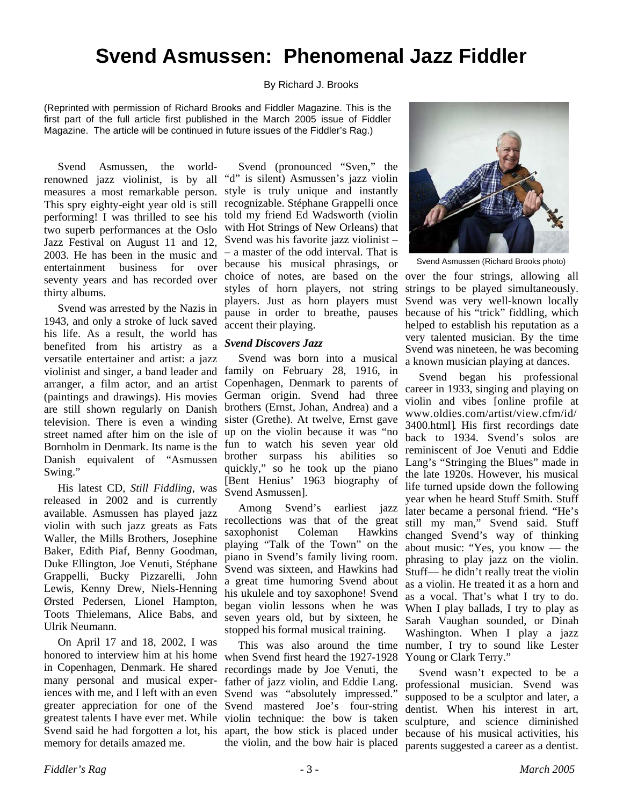## **Svend Asmussen: Phenomenal Jazz Fiddler**

#### By Richard J. Brooks

(Reprinted with permission of Richard Brooks and Fiddler Magazine. This is the first part of the full article first published in the March 2005 issue of Fiddler Magazine. The article will be continued in future issues of the Fiddler's Rag.)

Svend Asmussen, the worldrenowned jazz violinist, is by all measures a most remarkable person. This spry eighty-eight year old is still performing! I was thrilled to see his two superb performances at the Oslo Jazz Festival on August 11 and 12, 2003. He has been in the music and entertainment business for over seventy years and has recorded over thirty albums.

Svend was arrested by the Nazis in 1943, and only a stroke of luck saved his life. As a result, the world has benefited from his artistry as a versatile entertainer and artist: a jazz violinist and singer, a band leader and arranger, a film actor, and an artist (paintings and drawings). His movies are still shown regularly on Danish television. There is even a winding street named after him on the isle of Bornholm in Denmark. Its name is the Danish equivalent of "Asmussen Swing."

His latest CD, *Still Fiddling,* was released in 2002 and is currently available. Asmussen has played jazz violin with such jazz greats as Fats Waller, the Mills Brothers, Josephine Baker, Edith Piaf, Benny Goodman, Duke Ellington, Joe Venuti, Stéphane Grappelli, Bucky Pizzarelli, John Lewis, Kenny Drew, Niels-Henning Ørsted Pedersen, Lionel Hampton, Toots Thielemans, Alice Babs, and Ulrik Neumann.

On April 17 and 18, 2002, I was honored to interview him at his home in Copenhagen, Denmark. He shared many personal and musical experiences with me, and I left with an even greater appreciation for one of the greatest talents I have ever met. While Svend said he had forgotten a lot, his memory for details amazed me.

Svend (pronounced "Sven," the "d" is silent) Asmussen's jazz violin style is truly unique and instantly recognizable. Stéphane Grappelli once told my friend Ed Wadsworth (violin with Hot Strings of New Orleans) that Svend was his favorite jazz violinist – – a master of the odd interval. That is because his musical phrasings, or choice of notes, are based on the over the four strings, allowing all styles of horn players, not string players. Just as horn players must pause in order to breathe, pauses accent their playing.

#### *Svend Discovers Jazz*

Svend was born into a musical family on February 28, 1916, in Copenhagen, Denmark to parents of German origin. Svend had three brothers (Ernst, Johan, Andrea) and a sister (Grethe). At twelve, Ernst gave up on the violin because it was "no fun to watch his seven year old brother surpass his abilities so quickly," so he took up the piano [Bent Henius' 1963 biography of Svend Asmussen].

Among Svend's earliest jazz recollections was that of the great saxophonist Coleman Hawkins playing "Talk of the Town" on the piano in Svend's family living room. Svend was sixteen, and Hawkins had a great time humoring Svend about his ukulele and toy saxophone! Svend began violin lessons when he was seven years old, but by sixteen, he stopped his formal musical training.

This was also around the time when Svend first heard the 1927-1928 recordings made by Joe Venuti, the father of jazz violin, and Eddie Lang. Svend was "absolutely impressed." Svend mastered Joe's four-string violin technique: the bow is taken apart, the bow stick is placed under the violin, and the bow hair is placed



Svend Asmussen (Richard Brooks photo)

strings to be played simultaneously. Svend was very well-known locally because of his "trick" fiddling, which helped to establish his reputation as a very talented musician. By the time Svend was nineteen, he was becoming a known musician playing at dances.

Svend began his professional career in 1933, singing and playing on violin and vibes [online profile at www.oldies.com/artist/view.cfm/id/ 3400.html]. His first recordings date back to 1934. Svend's solos are reminiscent of Joe Venuti and Eddie Lang's "Stringing the Blues" made in the late 1920s. However, his musical life turned upside down the following year when he heard Stuff Smith. Stuff later became a personal friend. "He's still my man," Svend said. Stuff changed Svend's way of thinking about music: "Yes, you know –– the phrasing to play jazz on the violin. Stuff–– he didn't really treat the violin as a violin. He treated it as a horn and as a vocal. That's what I try to do. When I play ballads, I try to play as Sarah Vaughan sounded, or Dinah Washington. When I play a jazz number, I try to sound like Lester Young or Clark Terry."

Svend wasn't expected to be a professional musician. Svend was supposed to be a sculptor and later, a dentist. When his interest in art, sculpture, and science diminished because of his musical activities, his parents suggested a career as a dentist.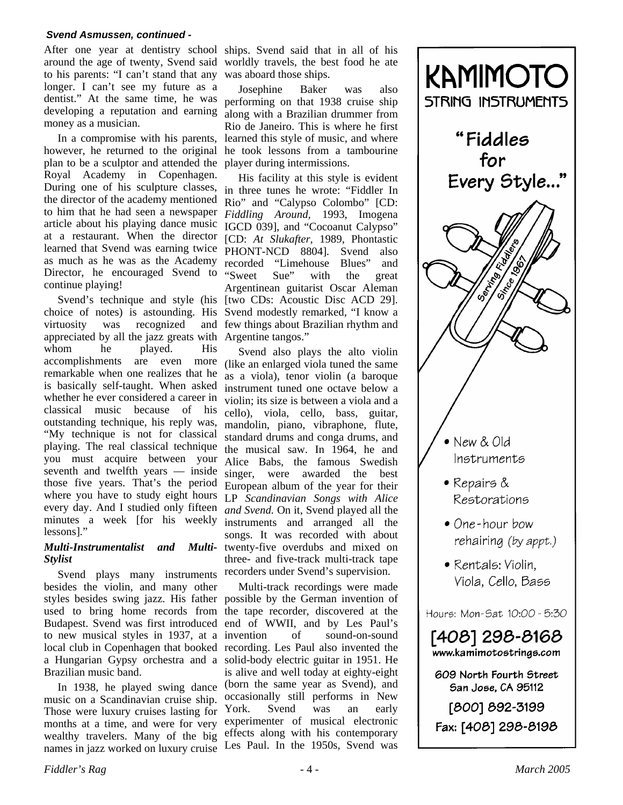to his parents: "I can't stand that any longer. I can't see my future as a dentist." At the same time, he was developing a reputation and earning money as a musician.

In a compromise with his parents, however, he returned to the original plan to be a sculptor and attended the Royal Academy in Copenhagen. During one of his sculpture classes, the director of the academy mentioned to him that he had seen a newspaper article about his playing dance music at a restaurant. When the director learned that Svend was earning twice as much as he was as the Academy Director, he encouraged Svend to continue playing!

Svend's technique and style (his choice of notes) is astounding. His virtuosity was recognized appreciated by all the jazz greats with Argentine tangos." whom he played. His accomplishments are even more remarkable when one realizes that he is basically self-taught. When asked whether he ever considered a career in classical music because of his outstanding technique, his reply was, "My technique is not for classical playing. The real classical technique you must acquire between your seventh and twelfth years — inside those five years. That's the period where you have to study eight hours every day. And I studied only fifteen minutes a week [for his weekly lessons]."

#### *Multi-Instrumentalist and Multi-Stylist*

Svend plays many instruments besides the violin, and many other styles besides swing jazz. His father possible by the German invention of used to bring home records from the tape recorder, discovered at the Budapest. Svend was first introduced end of WWII, and by Les Paul's to new musical styles in 1937, at a local club in Copenhagen that booked recording. Les Paul also invented the a Hungarian Gypsy orchestra and a solid-body electric guitar in 1951. He Brazilian music band.

In 1938, he played swing dance music on a Scandinavian cruise ship. Those were luxury cruises lasting for months at a time, and were for very wealthy travelers. Many of the big names in jazz worked on luxury cruise

After one year at dentistry school ships. Svend said that in all of his around the age of twenty, Svend said worldly travels, the best food he ate was aboard those ships.

> Josephine Baker was also performing on that 1938 cruise ship along with a Brazilian drummer from Rio de Janeiro. This is where he first learned this style of music, and where he took lessons from a tambourine player during intermissions.

His facility at this style is evident in three tunes he wrote: "Fiddler In Rio" and "Calypso Colombo" [CD: *Fiddling Around,* 1993, Imogena IGCD 039], and "Cocoanut Calypso" [CD: *At Slukafter,* 1989, Phontastic PHONT-NCD 8804]. Svend also recorded "Limehouse Blues" and<br>"Sweet Sue" with the great "Sweet Sue" with the great Argentinean guitarist Oscar Aleman [two CDs: Acoustic Disc ACD 29]. Svend modestly remarked, "I know a few things about Brazilian rhythm and

> Svend also plays the alto violin (like an enlarged viola tuned the same as a viola), tenor violin (a baroque instrument tuned one octave below a violin; its size is between a viola and a cello), viola, cello, bass, guitar, mandolin, piano, vibraphone, flute, standard drums and conga drums, and the musical saw. In 1964, he and Alice Babs, the famous Swedish singer, were awarded the best European album of the year for their LP *Scandinavian Songs with Alice and Svend.* On it, Svend played all the instruments and arranged all the songs. It was recorded with about twenty-five overdubs and mixed on three- and five-track multi-track tape recorders under Svend's supervision.

> Multi-track recordings were made of sound-on-sound is alive and well today at eighty-eight (born the same year as Svend), and occasionally still performs in New York. Svend was an early experimenter of musical electronic effects along with his contemporary Les Paul. In the 1950s, Svend was

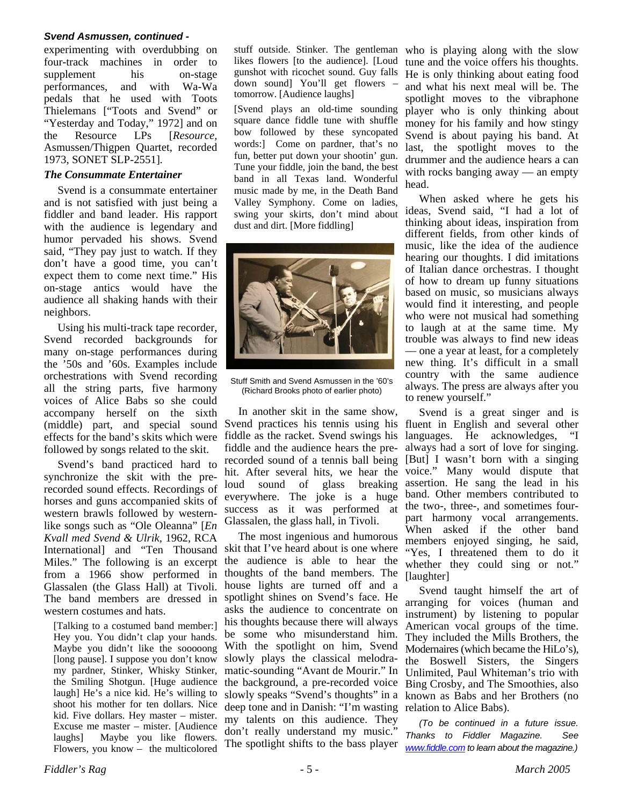experimenting with overdubbing on four-track machines in order to supplement his on-stage performances, and with Wa-Wa pedals that he used with Toots Thielemans ["Toots and Svend" or "Yesterday and Today," 1972] and on the Resource LPs [*Resource,* Asmussen/Thigpen Quartet, recorded 1973, SONET SLP-2551].

#### *The Consummate Entertainer*

Svend is a consummate entertainer and is not satisfied with just being a fiddler and band leader. His rapport with the audience is legendary and humor pervaded his shows. Svend said, "They pay just to watch. If they don't have a good time, you can't expect them to come next time." His on-stage antics would have the audience all shaking hands with their neighbors.

Using his multi-track tape recorder, Svend recorded backgrounds for many on-stage performances during the '50s and '60s. Examples include orchestrations with Svend recording all the string parts, five harmony voices of Alice Babs so she could accompany herself on the sixth (middle) part, and special sound effects for the band's skits which were followed by songs related to the skit.

Svend's band practiced hard to synchronize the skit with the prerecorded sound effects. Recordings of horses and guns accompanied skits of western brawls followed by westernlike songs such as "Ole Oleanna" [*En Kvall med Svend & Ulrik,* 1962, RCA International] and "Ten Thousand Miles." The following is an excerpt from a 1966 show performed in Glassalen (the Glass Hall) at Tivoli. The band members are dressed in western costumes and hats.

[Talking to a costumed band member:] Hey you. You didn't clap your hands. Maybe you didn't like the sooooong [long pause]. I suppose you don't know my pardner, Stinker, Whisky Stinker, the Smiling Shotgun. [Huge audience laugh] He's a nice kid. He's willing to shoot his mother for ten dollars. Nice kid. Five dollars. Hey master – mister. Excuse me master – mister. [Audience laughs] Maybe you like flowers. Flowers, you know – the multicolored

likes flowers [to the audience]. [Loud gunshot with ricochet sound. Guy falls down sound] You'll get flowers – tomorrow. [Audience laughs]

[Svend plays an old-time sounding square dance fiddle tune with shuffle bow followed by these syncopated words:] Come on pardner, that's no fun, better put down your shootin' gun. Tune your fiddle, join the band, the best band in all Texas land. Wonderful music made by me, in the Death Band Valley Symphony. Come on ladies, swing your skirts, don't mind about dust and dirt. [More fiddling]



Stuff Smith and Svend Asmussen in the '60's (Richard Brooks photo of earlier photo)

In another skit in the same show, Svend practices his tennis using his fiddle as the racket. Svend swings his fiddle and the audience hears the prerecorded sound of a tennis ball being hit. After several hits, we hear the loud sound of glass breaking everywhere. The joke is a huge success as it was performed at Glassalen, the glass hall, in Tivoli.

The most ingenious and humorous skit that I've heard about is one where the audience is able to hear the thoughts of the band members. The house lights are turned off and a spotlight shines on Svend's face. He asks the audience to concentrate on his thoughts because there will always be some who misunderstand him. With the spotlight on him, Svend slowly plays the classical melodramatic-sounding "Avant de Mourir." In the background, a pre-recorded voice slowly speaks "Svend's thoughts" in a deep tone and in Danish: "I'm wasting my talents on this audience. They don't really understand my music." The spotlight shifts to the bass player

stuff outside. Stinker. The gentleman who is playing along with the slow tune and the voice offers his thoughts. He is only thinking about eating food and what his next meal will be. The spotlight moves to the vibraphone player who is only thinking about money for his family and how stingy Svend is about paying his band. At last, the spotlight moves to the drummer and the audience hears a can with rocks banging away — an empty head.

> When asked where he gets his ideas, Svend said, "I had a lot of thinking about ideas, inspiration from different fields, from other kinds of music, like the idea of the audience hearing our thoughts. I did imitations of Italian dance orchestras. I thought of how to dream up funny situations based on music, so musicians always would find it interesting, and people who were not musical had something to laugh at at the same time. My trouble was always to find new ideas –– one a year at least, for a completely new thing. It's difficult in a small country with the same audience always. The press are always after you to renew yourself."

> Svend is a great singer and is fluent in English and several other languages. He acknowledges, "I always had a sort of love for singing. [But] I wasn't born with a singing voice." Many would dispute that assertion. He sang the lead in his band. Other members contributed to the two-, three-, and sometimes fourpart harmony vocal arrangements. When asked if the other band members enjoyed singing, he said, "Yes, I threatened them to do it whether they could sing or not." [laughter]

> Svend taught himself the art of arranging for voices (human and instrument) by listening to popular American vocal groups of the time. They included the Mills Brothers, the Modernaires (which became the HiLo's), the Boswell Sisters, the Singers Unlimited, Paul Whiteman's trio with Bing Crosby, and The Smoothies, also known as Babs and her Brothers (no relation to Alice Babs).

*(To be continued in a future issue. Thanks to Fiddler Magazine. See www.fiddle.com to learn about the magazine.)*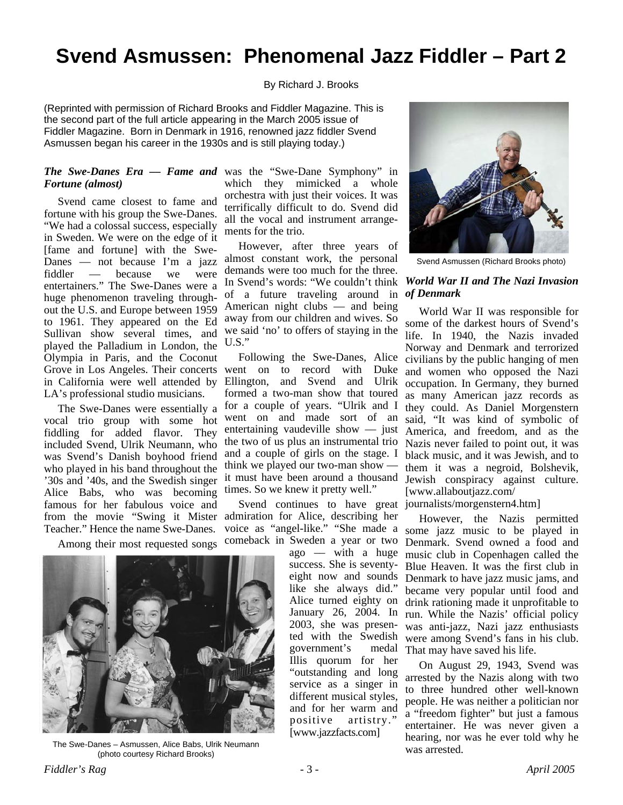## **Svend Asmussen: Phenomenal Jazz Fiddler – Part 2**

By Richard J. Brooks

(Reprinted with permission of Richard Brooks and Fiddler Magazine. This is the second part of the full article appearing in the March 2005 issue of Fiddler Magazine. Born in Denmark in 1916, renowned jazz fiddler Svend Asmussen began his career in the 1930s and is still playing today.)

## *Fortune (almost)*

Svend came closest to fame and fortune with his group the Swe-Danes. "We had a colossal success, especially in Sweden. We were on the edge of it [fame and fortune] with the Swe-Danes –– not because I'm a jazz fiddler –– because we were entertainers." The Swe-Danes were a huge phenomenon traveling throughout the U.S. and Europe between 1959 to 1961. They appeared on the Ed Sullivan show several times, and played the Palladium in London, the Olympia in Paris, and the Coconut Grove in Los Angeles. Their concerts went on to record with Duke in California were well attended by LA's professional studio musicians.

The Swe-Danes were essentially a vocal trio group with some hot fiddling for added flavor. They included Svend, Ulrik Neumann, who was Svend's Danish boyhood friend who played in his band throughout the '30s and '40s, and the Swedish singer Alice Babs, who was becoming famous for her fabulous voice and from the movie "Swing it Mister Teacher." Hence the name Swe-Danes.

Among their most requested songs



The Swe-Danes – Asmussen, Alice Babs, Ulrik Neumann (photo courtesy Richard Brooks)

*The Swe-Danes Era –– Fame and*  was the "Swe-Dane Symphony" in which they mimicked a whole orchestra with just their voices. It was terrifically difficult to do. Svend did all the vocal and instrument arrangements for the trio.

> However, after three years of almost constant work, the personal demands were too much for the three. In Svend's words: "We couldn't think of a future traveling around in *of Denmark* American night clubs — and being away from our children and wives. So we said 'no' to offers of staying in the U.S."

Following the Swe-Danes, Alice Ellington, and Svend and Ulrik formed a two-man show that toured for a couple of years. "Ulrik and I went on and made sort of an entertaining vaudeville show  $-$  just the two of us plus an instrumental trio and a couple of girls on the stage. I think we played our two-man show –– it must have been around a thousand times. So we knew it pretty well."

Svend continues to have great admiration for Alice, describing her comeback in Sweden a year or two

ago –– with a huge success. She is seventyeight now and sounds like she always did." Alice turned eighty on January 26, 2004. In 2003, she was presented with the Swedish government's medal Illis quorum for her "outstanding and long service as a singer in different musical styles, and for her warm and positive artistry." [www.jazzfacts.com]



Svend Asmussen (Richard Brooks photo)

## *World War II and The Nazi Invasion*

World War II was responsible for some of the darkest hours of Svend's life. In 1940, the Nazis invaded Norway and Denmark and terrorized civilians by the public hanging of men and women who opposed the Nazi occupation. In Germany, they burned as many American jazz records as they could. As Daniel Morgenstern said, "It was kind of symbolic of America, and freedom, and as the Nazis never failed to point out, it was black music, and it was Jewish, and to them it was a negroid, Bolshevik, Jewish conspiracy against culture. [www.allaboutjazz.com/

journalists/morgenstern4.htm]

voice as "angel-like." "She made a some jazz music to be played in However, the Nazis permitted Denmark. Svend owned a food and music club in Copenhagen called the Blue Heaven. It was the first club in Denmark to have jazz music jams, and became very popular until food and drink rationing made it unprofitable to run. While the Nazis' official policy was anti-jazz, Nazi jazz enthusiasts were among Svend's fans in his club. That may have saved his life.

> On August 29, 1943, Svend was arrested by the Nazis along with two to three hundred other well-known people. He was neither a politician nor a "freedom fighter" but just a famous entertainer. He was never given a hearing, nor was he ever told why he was arrested.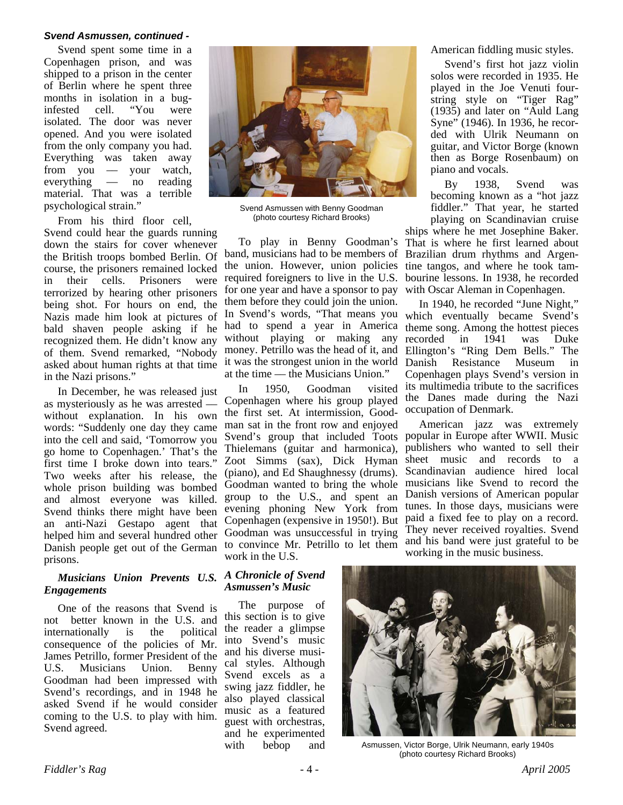Svend spent some time in a Copenhagen prison, and was shipped to a prison in the center of Berlin where he spent three months in isolation in a buginfested cell. "You were isolated. The door was never opened. And you were isolated from the only company you had. Everything was taken away from you –– your watch, everything –– no reading material. That was a terrible psychological strain."

From his third floor cell,

Svend could hear the guards running down the stairs for cover whenever the British troops bombed Berlin. Of course, the prisoners remained locked in their cells. Prisoners were terrorized by hearing other prisoners being shot. For hours on end, the Nazis made him look at pictures of bald shaven people asking if he recognized them. He didn't know any of them. Svend remarked, "Nobody asked about human rights at that time in the Nazi prisons."

In December, he was released just as mysteriously as he was arrested –– without explanation. In his own words: "Suddenly one day they came into the cell and said, 'Tomorrow you go home to Copenhagen.' That's the first time I broke down into tears." Two weeks after his release, the whole prison building was bombed and almost everyone was killed. Svend thinks there might have been an anti-Nazi Gestapo agent that helped him and several hundred other Danish people get out of the German prisons.

#### *Musicians Union Prevents U.S. Engagements*

One of the reasons that Svend is not better known in the U.S. and internationally is the political consequence of the policies of Mr. James Petrillo, former President of the U.S. Musicians Union. Benny Goodman had been impressed with Svend's recordings, and in 1948 he asked Svend if he would consider coming to the U.S. to play with him. Svend agreed.



Svend Asmussen with Benny Goodman (photo courtesy Richard Brooks)

To play in Benny Goodman's band, musicians had to be members of the union. However, union policies required foreigners to live in the U.S. for one year and have a sponsor to pay them before they could join the union. In Svend's words, "That means you which eventually became Svend's had to spend a year in America without playing or making any money. Petrillo was the head of it, and it was the strongest union in the world at the time –– the Musicians Union."

In 1950, Goodman visited Copenhagen where his group played the first set. At intermission, Goodman sat in the front row and enjoyed Svend's group that included Toots popular in Europe after WWII. Music Thielemans (guitar and harmonica), Zoot Simms (sax), Dick Hyman (piano), and Ed Shaughnessy (drums). Goodman wanted to bring the whole group to the U.S., and spent an evening phoning New York from Copenhagen (expensive in 1950!). But Goodman was unsuccessful in trying to convince Mr. Petrillo to let them work in the U.S.

American fiddling music styles.

Svend's first hot jazz violin solos were recorded in 1935. He played in the Joe Venuti fourstring style on "Tiger Rag" (1935) and later on "Auld Lang Syne" (1946). In 1936, he recorded with Ulrik Neumann on guitar, and Victor Borge (known then as Borge Rosenbaum) on piano and vocals.

By 1938, Svend was becoming known as a "hot jazz fiddler." That year, he started playing on Scandinavian cruise

ships where he met Josephine Baker. That is where he first learned about Brazilian drum rhythms and Argentine tangos, and where he took tambourine lessons. In 1938, he recorded with Oscar Aleman in Copenhagen.

In 1940, he recorded "June Night," theme song. Among the hottest pieces recorded in 1941 was Duke Ellington's "Ring Dem Bells." The Resistance Museum in Copenhagen plays Svend's version in its multimedia tribute to the sacrifices the Danes made during the Nazi occupation of Denmark.

American jazz was extremely publishers who wanted to sell their sheet music and records to a Scandinavian audience hired local musicians like Svend to record the Danish versions of American popular tunes. In those days, musicians were paid a fixed fee to play on a record. They never received royalties. Svend and his band were just grateful to be working in the music business.

#### *A Chronicle of Svend Asmussen's Music*

The purpose of this section is to give the reader a glimpse into Svend's music and his diverse musical styles. Although Svend excels as a swing jazz fiddler, he also played classical music as a featured guest with orchestras, and he experimented with bebop and



Asmussen, Victor Borge, Ulrik Neumann, early 1940s (photo courtesy Richard Brooks)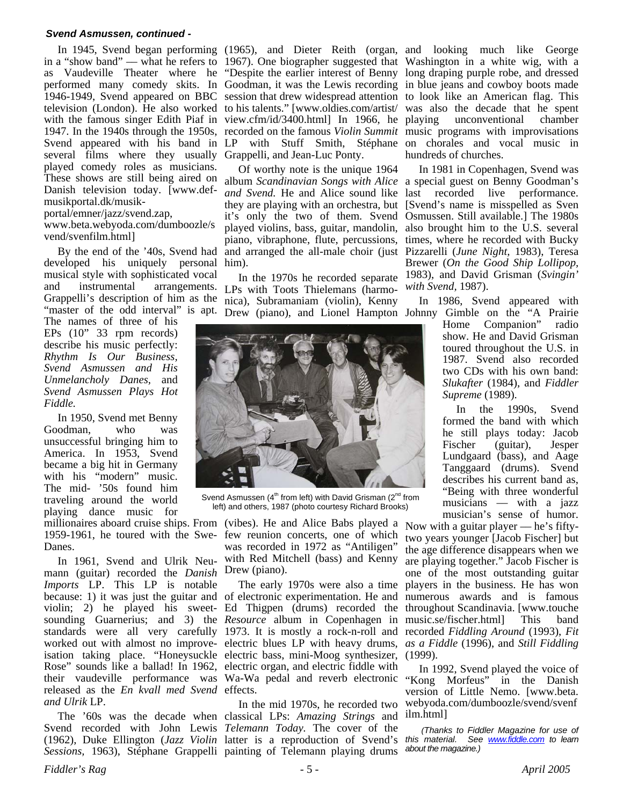in a "show band" –– what he refers to 1967). One biographer suggested that Washington in a white wig, with a as Vaudeville Theater where he "Despite the earlier interest of Benny long draping purple robe, and dressed performed many comedy skits. In Goodman, it was the Lewis recording in blue jeans and cowboy boots made 1946-1949, Svend appeared on BBC session that drew widespread attention to look like an American flag. This television (London). He also worked to his talents." [www.oldies.com/artist/ was also the decade that he spent with the famous singer Edith Piaf in view.cfm/id/3400.html] In 1966, he 1947. In the 1940s through the 1950s, recorded on the famous *Violin Summit* music programs with improvisations Svend appeared with his band in LP with Stuff Smith, Stéphane on chorales and vocal music in several films where they usually Grappelli, and Jean-Luc Ponty. played comedy roles as musicians. These shows are still being aired on album *Scandinavian Songs with Alice*  a special guest on Benny Goodman's Danish television today. [www.defmusikportal.dk/musik-

portal/emner/jazz/svend.zap,

www.beta.webyoda.com/dumboozle/s vend/svenfilm.html]

developed his uniquely personal him). musical style with sophisticated vocal and instrumental arrangements. LPs with Toots Thielemans (harmo-"master of the odd interval" is apt.

The names of three of his EPs (10" 33 rpm records) describe his music perfectly: *Rhythm Is Our Business, Svend Asmussen and His Unmelancholy Danes,* and *Svend Asmussen Plays Hot Fiddle.*

In 1950, Svend met Benny Goodman, who was unsuccessful bringing him to America. In 1953, Svend became a big hit in Germany with his "modern" music. The mid- '50s found him traveling around the world playing dance music for

millionaires aboard cruise ships. From (vibes). He and Alice Babs played a Now with a guitar player — he's fifty-Danes.

In 1961, Svend and Ulrik Neumann (guitar) recorded the *Danish*  Drew (piano). *Imports* LP. This LP is notable because: 1) it was just the guitar and of electronic experimentation. He and violin; 2) he played his sweet-Ed Thigpen (drums) recorded the throughout Scandinavia. [www.touche sounding Guarnerius; and 3) the *Resource* album in Copenhagen in music.se/fischer.html] This band standards were all very carefully 1973. It is mostly a rock-n-roll and recorded *Fiddling Around* (1993), *Fit*  worked out with almost no improve-electric blues LP with heavy drums, *as a Fiddle* (1996), and *Still Fiddling* isation taking place. "Honeysuckle electric bass, mini-Moog synthesizer, (1999). Rose" sounds like a ballad! In 1962, electric organ, and electric fiddle with their vaudeville performance was Wa-Wa pedal and reverb electronic "Kong Morfeus" in the Danish released as the *En kvall med Svend*  effects. *and Ulrik* LP.

Svend recorded with John Lewis *Telemann Today.* The cover of the (1962), Duke Ellington (*Jazz Violin*  latter is a reproduction of Svend's *Sessions,* 1963), Stéphane Grappelli painting of Telemann playing drums

By the end of the '40s, Svend had and arranged the all-male choir (just Pizzarelli (*June Night,* 1983), Teresa Of worthy note is the unique 1964 and Svend. He and Alice sound like last recorded live performance. they are playing with an orchestra, but [Svend's name is misspelled as Sven it's only the two of them. Svend Osmussen. Still available.] The 1980s played violins, bass, guitar, mandolin, also brought him to the U.S. several piano, vibraphone, flute, percussions, times, where he recorded with Bucky

Grappelli's description of him as the nica), Subramaniam (violin), Kenny In the 1970s he recorded separate Drew (piano), and Lionel Hampton Johnny Gimble on the "A Prairie



Svend Asmussen ( $4<sup>th</sup>$  from left) with David Grisman ( $2<sup>nd</sup>$  from left) and others, 1987 (photo courtesy Richard Brooks)

1959-1961, he toured with the Swe-few reunion concerts, one of which was recorded in 1972 as "Antiligen" with Red Mitchell (bass) and Kenny

The early 1970s were also a time

The '60s was the decade when classical LPs: *Amazing Strings* and In the mid 1970s, he recorded two

In 1945, Svend began performing (1965), and Dieter Reith (organ, and looking much like George unconventional chamber hundreds of churches.

> In 1981 in Copenhagen, Svend was Brewer (*On the Good Ship Lollipop,* 1983), and David Grisman (*Svingin' with Svend,* 1987).

In 1986, Svend appeared with

Home Companion" radio show. He and David Grisman toured throughout the U.S. in 1987. Svend also recorded two CDs with his own band: *Slukafter* (1984), and *Fiddler Supreme* (1989).

In the 1990s, Svend formed the band with which he still plays today: Jacob Fischer (guitar), Jesper Lundgaard (bass), and Aage Tanggaard (drums). Svend describes his current band as, "Being with three wonderful musicians — with a jazz musician's sense of humor.

two years younger [Jacob Fischer] but the age difference disappears when we are playing together." Jacob Fischer is one of the most outstanding guitar players in the business. He has won numerous awards and is famous

In 1992, Svend played the voice of version of Little Nemo. [www.beta. webyoda.com/dumboozle/svend/svenf ilm.html]

 *(Thanks to Fiddler Magazine for use of this material. See www.fiddle.com to learn about the magazine.)*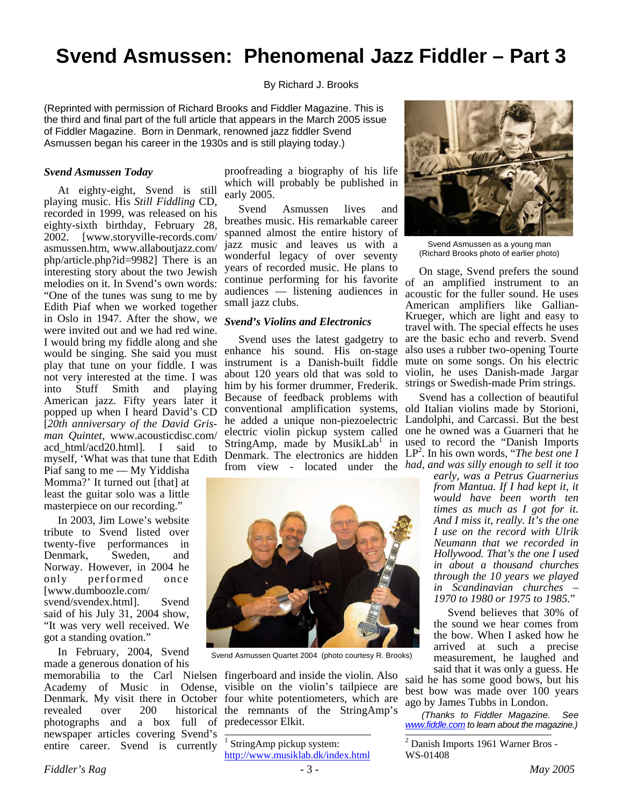## **Svend Asmussen: Phenomenal Jazz Fiddler – Part 3**

By Richard J. Brooks

(Reprinted with permission of Richard Brooks and Fiddler Magazine. This is the third and final part of the full article that appears in the March 2005 issue of Fiddler Magazine. Born in Denmark, renowned jazz fiddler Svend Asmussen began his career in the 1930s and is still playing today.)

#### *Svend Asmussen Today*

At eighty-eight, Svend is still playing music. His *Still Fiddling* CD, recorded in 1999, was released on his eighty-sixth birthday, February 28, 2002. [www.storyville-records.com/ asmussen.htm, www.allaboutjazz.com/ php/article.php?id=9982] There is an interesting story about the two Jewish melodies on it. In Svend's own words: "One of the tunes was sung to me by Edith Piaf when we worked together in Oslo in 1947. After the show, we were invited out and we had red wine. I would bring my fiddle along and she would be singing. She said you must play that tune on your fiddle. I was not very interested at the time. I was into Stuff Smith and playing American jazz. Fifty years later it popped up when I heard David's CD [*20th anniversary of the David Grisman Quintet,* www.acousticdisc.com/<br>acd\_html/acd20\_htmll \_\_I\_\_\_said\_\_\_to acd html/acd20.html]. I said myself, 'What was that tune that Edith

Piaf sang to me — My Yiddisha Momma?' It turned out [that] at least the guitar solo was a little masterpiece on our recording."

In 2003, Jim Lowe's website tribute to Svend listed over twenty-five performances in Denmark, Sweden, and Norway. However, in 2004 he only performed once [www.dumboozle.com/ svend/svendex.html]. Svend said of his July 31, 2004 show, "It was very well received. We got a standing ovation."

In February, 2004, Svend made a generous donation of his photographs and a box full of predecessor Elkit. newspaper articles covering Svend's entire career. Svend is currently

proofreading a biography of his life which will probably be published in early 2005.

Svend Asmussen lives and breathes music. His remarkable career spanned almost the entire history of jazz music and leaves us with a wonderful legacy of over seventy years of recorded music. He plans to audiences –– listening audiences in small jazz clubs.

#### *Svend's Violins and Electronics*

Svend uses the latest gadgetry to enhance his sound. His on-stage instrument is a Danish-built fiddle about 120 years old that was sold to him by his former drummer, Frederik. Because of feedback problems with from view - located under the *had, and was silly enough to sell it too* 



Svend Asmussen Quartet 2004 (photo courtesy R. Brooks)

memorabilia to the Carl Nielsen fingerboard and inside the violin. Also Academy of Music in Odense, visible on the violin's tailpiece are Denmark. My visit there in October four white potentiometers, which are revealed over 200 historical the remnants of the StringAmp's

> 1 StringAmp pickup system: http://www.musiklab.dk/index.html

.



Svend Asmussen as a young man (Richard Brooks photo of earlier photo)

continue performing for his favorite of an amplified instrument to an On stage, Svend prefers the sound acoustic for the fuller sound. He uses American amplifiers like Gallian-Krueger, which are light and easy to travel with. The special effects he uses are the basic echo and reverb. Svend also uses a rubber two-opening Tourte mute on some songs. On his electric violin, he uses Danish-made Jargar strings or Swedish-made Prim strings.

conventional amplification systems, old Italian violins made by Storioni, he added a unique non-piezoelectric Landolphi, and Carcassi. But the best electric violin pickup system called one he owned was a Guarneri that he StringAmp, made by MusikLab<sup>1</sup> in used to record the "Danish Imports" Denmark. The electronics are hidden  $LP<sup>2</sup>$ . In his own words, "*The best one I* Svend has a collection of beautiful

*early, was a Petrus Guarnerius from Mantua. If I had kept it, it would have been worth ten times as much as I got for it. And I miss it, really. It's the one I use on the record with Ulrik Neumann that we recorded in Hollywood. That's the one I used in about a thousand churches through the 10 years we played in Scandinavian churches – 1970 to 1980 or 1975 to 1985.*"

Svend believes that 30% of the sound we hear comes from the bow. When I asked how he arrived at such a precise measurement, he laughed and said that it was only a guess. He

said he has some good bows, but his best bow was made over 100 years ago by James Tubbs in London.

 *(Thanks to Fiddler Magazine. See www.fiddle.com to learn about the magazine.)* 

2 Danish Imports 1961 Warner Bros - WS-01408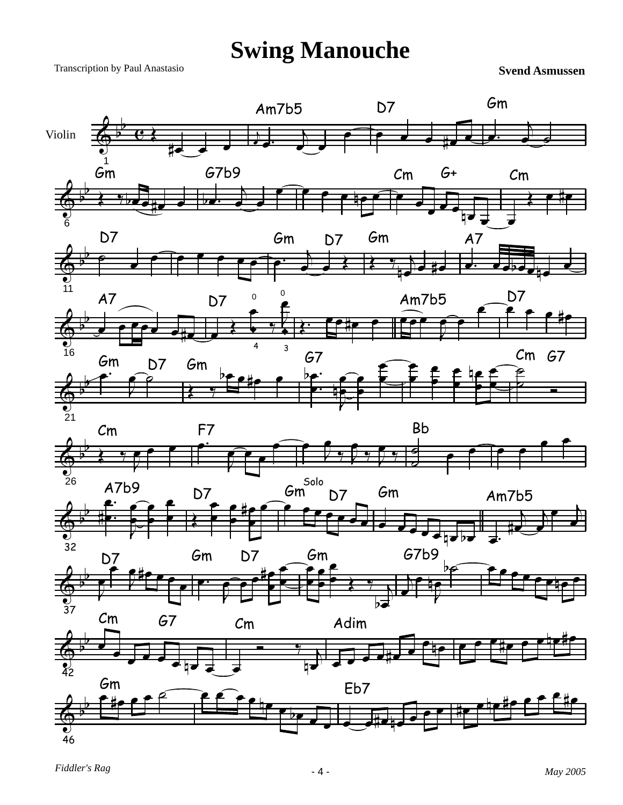# **Swing Manouche**

Transcription by Paul Anastasio

**Svend Asmussen**